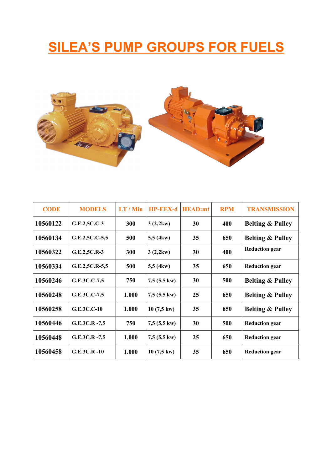# **SILEA'S PUMP GROUPS FOR FUELS**



| <b>CODE</b> | <b>MODELS</b>    | LT / Min | <b>HP-EEX-d</b>       | <b>HEAD:mt</b> | <b>RPM</b> | <b>TRANSMISSION</b>         |
|-------------|------------------|----------|-----------------------|----------------|------------|-----------------------------|
| 10560122    | G.E.2,5C.C-3     | 300      | 3(2,2kw)              | 30             | 400        | <b>Belting &amp; Pulley</b> |
| 10560134    | G.E.2,5C.C-5,5   | 500      | 5,5(4kw)              | 35             | 650        | <b>Belting &amp; Pulley</b> |
| 10560322    | G.E.2,5C.R-3     | 300      | 3(2,2kw)              | 30             | 400        | <b>Reduction gear</b>       |
| 10560334    | G.E.2,5C.R-5,5   | 500      | 5,5 (4kw)             | 35             | 650        | <b>Reduction gear</b>       |
| 10560246    | G.E.3C.C-7,5     | 750      | $7,5(5,5 \text{ kw})$ | 30             | 500        | <b>Belting &amp; Pulley</b> |
| 10560248    | G.E.3C.C-7,5     | 1.000    | $7,5(5,5 \text{ kw})$ | 25             | 650        | <b>Belting &amp; Pulley</b> |
| 10560258    | $G.E.3C.C-10$    | 1.000    | $10(7,5 \text{ kW})$  | 35             | 650        | <b>Belting &amp; Pulley</b> |
| 10560446    | $G.E.3C.R. -7,5$ | 750      | $7,5(5,5 \text{ kw})$ | 30             | 500        | <b>Reduction gear</b>       |
| 10560448    | $G.E.3C.R. -7,5$ | 1.000    | $7,5(5,5 \text{ kw})$ | 25             | 650        | <b>Reduction gear</b>       |
| 10560458    | $G.E.3C.R. -10$  | 1.000    | $10(7,5 \text{ kW})$  | 35             | 650        | <b>Reduction gear</b>       |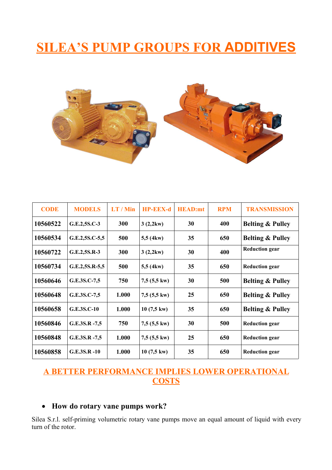# **SILEA'S PUMP GROUPS FOR ADDITIVES**



| <b>CODE</b> | <b>MODELS</b>      | LT / Min   | <b>HP-EEX-d</b>       | <b>HEAD:mt</b> | <b>RPM</b> | <b>TRANSMISSION</b>         |
|-------------|--------------------|------------|-----------------------|----------------|------------|-----------------------------|
| 10560522    | G.E.2,5S.C-3       | 300        | 3(2,2kw)              | 30             | 400        | <b>Belting &amp; Pulley</b> |
| 10560534    | $G.E.2, 5S.C-5, 5$ | 500        | 5,5(4kw)              | 35             | 650        | <b>Belting &amp; Pulley</b> |
| 10560722    | G.E.2,5S.R-3       | <b>300</b> | 3(2,2kw)              | 30             | 400        | <b>Reduction gear</b>       |
| 10560734    | $G.E.2, 5S.R-5, 5$ | 500        | $5,5$ (4kw)           | 35             | 650        | <b>Reduction gear</b>       |
| 10560646    | G.E.3S.C-7,5       | 750        | $7,5(5,5 \text{ kw})$ | 30             | 500        | <b>Belting &amp; Pulley</b> |
| 10560648    | G.E.3S.C-7,5       | 1.000      | $7,5(5,5 \text{ kw})$ | 25             | 650        | <b>Belting &amp; Pulley</b> |
| 10560658    | G.E.3S.C-10        | 1.000      | $10(7,5 \text{ kW})$  | 35             | 650        | <b>Belting &amp; Pulley</b> |
| 10560846    | G.E.3S.R -7,5      | 750        | $7,5(5,5 \text{ kw})$ | 30             | 500        | <b>Reduction gear</b>       |
| 10560848    | $G.E.3S.R. -7,5$   | 1.000      | $7,5(5,5 \text{ kw})$ | 25             | 650        | <b>Reduction gear</b>       |
| 10560858    | G.E.3S.R -10       | 1.000      | $10(7,5 \text{ kW})$  | 35             | 650        | <b>Reduction gear</b>       |

# **A BETTER PERFORMANCE IMPLIES LOWER OPERATIONAL COSTS**

### · **How do rotary vane pumps work?**

Silea S.r.l. self-priming volumetric rotary vane pumps move an equal amount of liquid with every turn of the rotor.